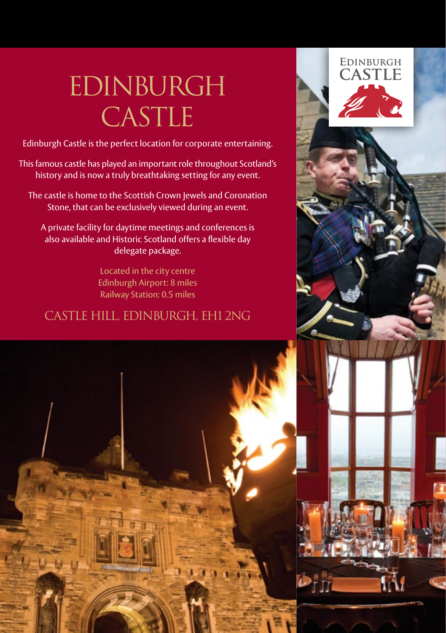# EDINBURGH CASTLE

Edinburgh Castle is the perfect location for corporate entertaining.

This famous castle has played an important role throughout Scotland's history and is now a truly breathtaking setting for any event.

The castle is home to the Scottish Crown Jewels and Coronation Stone, that can be exclusively viewed during an event.

A private facility for daytime meetings and conferences is also available and Historic Scotland offers a flexible day delegate package.

> Located in the city centre Edinburgh Airport: 8 miles Railway Station: 0.5 miles

#### castle hill, edinburgh, eh1 2ng

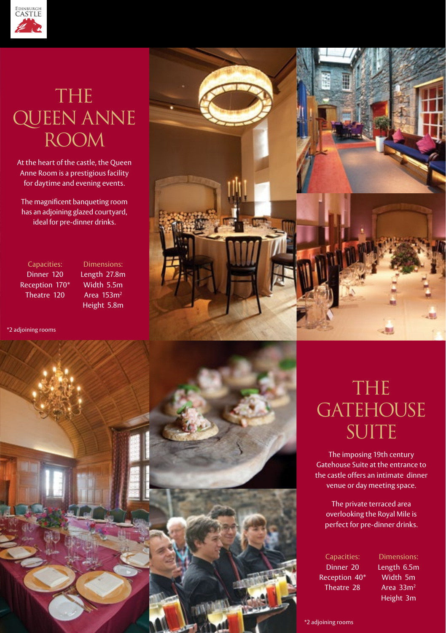

### THE QUEEN ANNE room

At the heart of the castle, the Queen Anne Room is a prestigious facility for daytime and evening events.

The magnificent banqueting room has an adjoining glazed courtyard, ideal for pre-dinner drinks.

Capacities: Dinner 120 Reception 170\* Theatre 120

Dimensions: Length 27.8m Width 5.5m Area 153m2 Height 5.8m

\*2 adjoining rooms





### THE **GATEHOUSE** SUITE

The imposing 19th century Gatehouse Suite at the entrance to the castle offers an intimate dinner venue or day meeting space.

The private terraced area overlooking the Royal Mile is perfect for pre-dinner drinks.

Capacities: Dinner 20 Reception 40\* Theatre 28

Dimensions: Length 6.5m Width 5m Area 33m2 Height 3m

\*2 adjoining rooms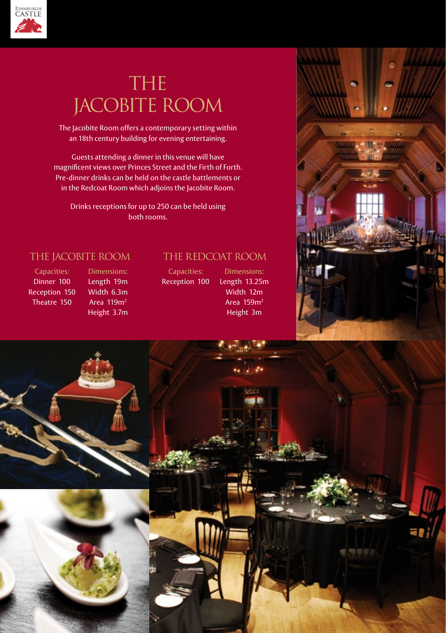

## THE jacobite room

The Jacobite Room offers a contemporary setting within an 18th century building for evening entertaining.

Guests attending a dinner in this venue will have magnificent views over Princes Street and the Firth of Forth. Pre-dinner drinks can be held on the castle battlements or in the Redcoat Room which adjoins the Jacobite Room.

Drinks receptions for up to 250 can be held using both rooms.

#### the jacobite room

Capacities: Dinner 100 Reception 150 Theatre 150

Dimensions: Length 19m Width 6.3m Area 119m2 Height 3.7m

#### The REDCOAT room

Capacities: Reception 100

Length 13.25m Width 12m Area 159m2 Height 3m

Dimensions: